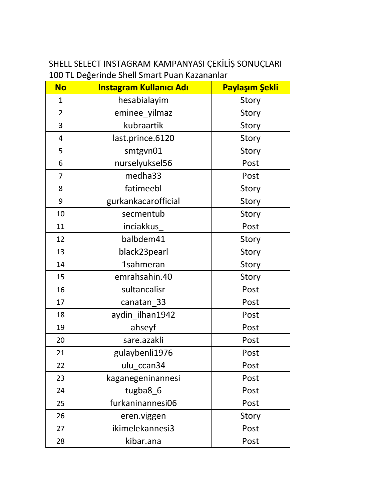## SHELL SELECT INSTAGRAM KAMPANYASI ÇEKİLİŞ SONUÇLARI 100 TL Değerinde Shell Smart Puan Kazananlar

| <b>No</b>      | <b>Instagram Kullanıcı Adı</b> | Paylaşım Şekli |
|----------------|--------------------------------|----------------|
| $\mathbf{1}$   | hesabialayim                   | Story          |
| $\overline{2}$ | eminee_yilmaz                  | Story          |
| 3              | kubraartik                     | Story          |
| $\overline{4}$ | last.prince.6120               | Story          |
| 5              | smtgvn01                       | Story          |
| 6              | nurselyuksel56                 | Post           |
| 7              | medha33                        | Post           |
| 8              | fatimeebl                      | Story          |
| 9              | gurkankacarofficial            | Story          |
| 10             | secmentub                      | Story          |
| 11             | inciakkus                      | Post           |
| 12             | balbdem41                      | Story          |
| 13             | black23pearl                   | Story          |
| 14             | <b>1sahmeran</b>               | Story          |
| 15             | emrahsahin.40                  | Story          |
| 16             | sultancalisr                   | Post           |
| 17             | canatan_33                     | Post           |
| 18             | aydin_ilhan1942                | Post           |
| 19             | ahseyf                         | Post           |
| 20             | sare.azakli                    | Post           |
| 21             | gulaybenli1976                 | Post           |
| 22             | ulu_ccan34                     | Post           |
| 23             | kaganegeninannesi              | Post           |
| 24             | tugba8_6                       | Post           |
| 25             | furkaninannesi06               | Post           |
| 26             | eren.viggen                    | Story          |
| 27             | ikimelekannesi3                | Post           |
| 28             | kibar.ana                      | Post           |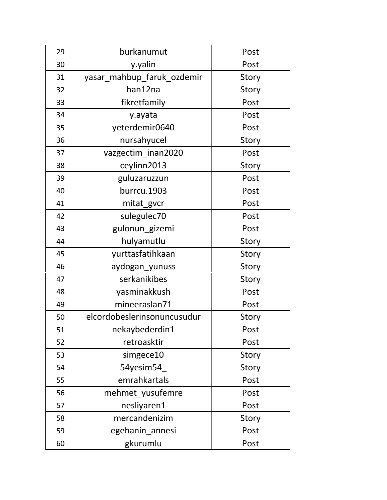| 29 | burkanumut                  | Post  |
|----|-----------------------------|-------|
| 30 | y.yalin                     | Post  |
| 31 | yasar_mahbup_faruk_ozdemir  | Story |
| 32 | han12na                     | Story |
| 33 | fikretfamily                | Post  |
| 34 | y.ayata                     | Post  |
| 35 | yeterdemir0640              | Post  |
| 36 | nursahyucel                 | Story |
| 37 | vazgectim_inan2020          | Post  |
| 38 | ceylinn2013                 | Story |
| 39 | guluzaruzzun                | Post  |
| 40 | burrcu.1903                 | Post  |
| 41 | mitat_gvcr                  | Post  |
| 42 | sulegulec70                 | Post  |
| 43 | gulonun_gizemi              | Post  |
| 44 | hulyamutlu                  | Story |
| 45 | yurttasfatihkaan            | Story |
| 46 | aydogan_yunuss              | Story |
| 47 | serkanikibes                | Story |
| 48 | yasminakkush                | Post  |
| 49 | mineeraslan71               | Post  |
| 50 | elcordobeslerinsonuncusudur | Story |
| 51 | nekaybederdin1              | Post  |
| 52 | retroasktir                 | Post  |
| 53 | simgece10                   | Story |
| 54 | 54yesim54                   | Story |
| 55 | emrahkartals                | Post  |
| 56 | mehmet yusufemre            | Post  |
| 57 | nesliyaren1                 | Post  |
| 58 | mercandenizim               | Story |
| 59 | egehanin_annesi             | Post  |
| 60 | gkurumlu                    | Post  |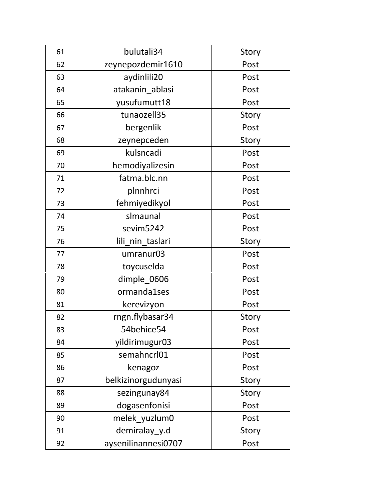| 61 | bulutali34          | Story |
|----|---------------------|-------|
| 62 | zeynepozdemir1610   | Post  |
| 63 | aydinlili20         | Post  |
| 64 | atakanin ablasi     | Post  |
| 65 | yusufumutt18        | Post  |
| 66 | tunaozell35         | Story |
| 67 | bergenlik           | Post  |
| 68 | zeynepceden         | Story |
| 69 | kulsncadi           | Post  |
| 70 | hemodiyalizesin     | Post  |
| 71 | fatma.blc.nn        | Post  |
| 72 | plnnhrci            | Post  |
| 73 | fehmiyedikyol       | Post  |
| 74 | slmaunal            | Post  |
| 75 | sevim5242           | Post  |
| 76 | lili_nin_taslari    | Story |
| 77 | umranur03           | Post  |
| 78 | toycuselda          | Post  |
| 79 | dimple_0606         | Post  |
| 80 | ormanda1ses         | Post  |
| 81 | kerevizyon          | Post  |
| 82 | rngn.flybasar34     | Story |
| 83 | 54behice54          | Post  |
| 84 | yildirimugur03      | Post  |
| 85 | semahncrl01         | Post  |
| 86 | kenagoz             | Post  |
| 87 | belkizinorgudunyasi | Story |
| 88 | sezingunay84        | Story |
| 89 | dogasenfonisi       | Post  |
| 90 | melek_yuzlum0       | Post  |
| 91 | demiralay_y.d       | Story |
| 92 | aysenilinannesi0707 | Post  |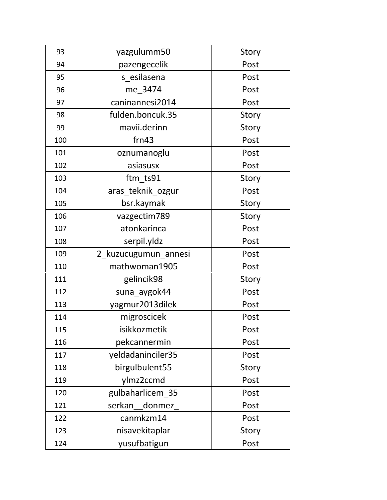| 93  | yazgulumm50          | Story |
|-----|----------------------|-------|
| 94  | pazengecelik         | Post  |
| 95  | s esilasena          | Post  |
| 96  | me_3474              | Post  |
| 97  | caninannesi2014      | Post  |
| 98  | fulden.boncuk.35     | Story |
| 99  | mavii.derinn         | Story |
| 100 | frn43                | Post  |
| 101 | oznumanoglu          | Post  |
| 102 | asiasusx             | Post  |
| 103 | ftm ts91             | Story |
| 104 | aras_teknik_ozgur    | Post  |
| 105 | bsr.kaymak           | Story |
| 106 | vazgectim789         | Story |
| 107 | atonkarinca          | Post  |
| 108 | serpil.yldz          | Post  |
|     |                      |       |
| 109 | 2_kuzucugumun_annesi | Post  |
| 110 | mathwoman1905        | Post  |
| 111 | gelincik98           | Story |
| 112 | suna aygok44         | Post  |
| 113 | yagmur2013dilek      | Post  |
| 114 | migroscicek          | Post  |
| 115 | isikkozmetik         | Post  |
| 116 | pekcannermin         | Post  |
| 117 | yeldadaninciler35    | Post  |
| 118 | birgulbulent55       | Story |
| 119 | ylmz2ccmd            | Post  |
| 120 | gulbaharlicem_35     | Post  |
| 121 | serkan<br>donmez     | Post  |
| 122 | canmkzm14            | Post  |
| 123 | nisavekitaplar       | Story |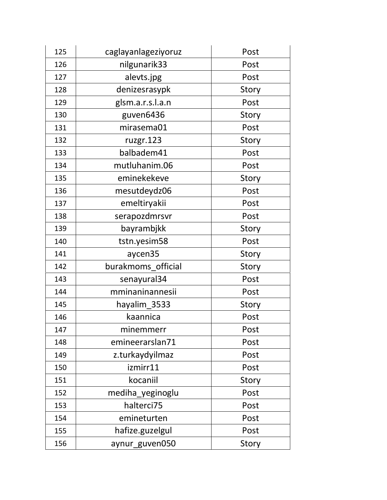| 125 | caglayanlageziyoruz | Post  |
|-----|---------------------|-------|
| 126 | nilgunarik33        | Post  |
| 127 | alevts.jpg          | Post  |
| 128 | denizesrasypk       | Story |
| 129 | glsm.a.r.s.l.a.n    | Post  |
| 130 | guven6436           | Story |
| 131 | mirasema01          | Post  |
| 132 | ruzgr.123           | Story |
| 133 | balbadem41          | Post  |
| 134 | mutluhanim.06       | Post  |
| 135 | eminekekeve         | Story |
| 136 | mesutdeydz06        | Post  |
| 137 | emeltiryakii        | Post  |
| 138 | serapozdmrsvr       | Post  |
| 139 | bayrambjkk          | Story |
| 140 | tstn.yesim58        | Post  |
| 141 | aycen35             | Story |
| 142 | burakmoms official  | Story |
| 143 | senayural34         | Post  |
| 144 | mminaninannesii     | Post  |
| 145 | hayalim_3533        | Story |
| 146 | kaannica            | Post  |
| 147 | minemmerr           | Post  |
| 148 | emineerarslan71     | Post  |
| 149 | z.turkaydyilmaz     | Post  |
| 150 | izmirr11            | Post  |
| 151 | kocaniil            | Story |
| 152 | mediha_yeginoglu    | Post  |
| 153 | halterci75          | Post  |
| 154 | emineturten         | Post  |
| 155 | hafize.guzelgul     | Post  |
| 156 | aynur_guven050      | Story |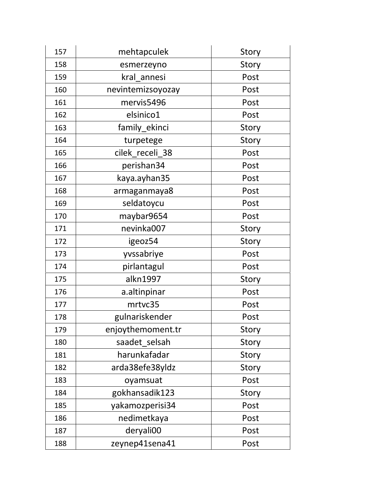| 157 | mehtapculek       | Story |
|-----|-------------------|-------|
| 158 | esmerzeyno        | Story |
| 159 | kral annesi       | Post  |
| 160 | nevintemizsoyozay | Post  |
| 161 | mervis5496        | Post  |
| 162 | elsinico1         | Post  |
| 163 | family_ekinci     | Story |
| 164 | turpetege         | Story |
| 165 | cilek_receli_38   | Post  |
| 166 | perishan34        | Post  |
| 167 | kaya.ayhan35      | Post  |
| 168 | armaganmaya8      | Post  |
| 169 | seldatoycu        | Post  |
| 170 | maybar9654        | Post  |
| 171 | nevinka007        | Story |
| 172 | igeoz54           | Story |
| 173 | yvssabriye        | Post  |
| 174 | pirlantagul       | Post  |
| 175 | alkn1997          | Story |
| 176 | a.altinpinar      | Post  |
| 177 | mrtvc35           | Post  |
| 178 | gulnariskender    | Post  |
| 179 | enjoythemoment.tr | Story |
| 180 | saadet_selsah     | Story |
| 181 | harunkafadar      | Story |
| 182 | arda38efe38yldz   | Story |
| 183 | oyamsuat          | Post  |
| 184 | gokhansadik123    | Story |
| 185 | yakamozperisi34   | Post  |
| 186 | nedimetkaya       | Post  |
| 187 | deryali00         | Post  |
| 188 | zeynep41sena41    | Post  |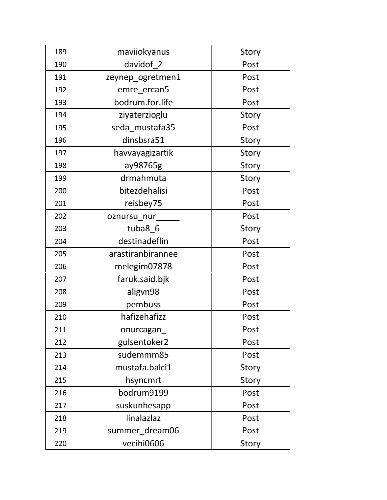| 189 | maviiokyanus      | Story |
|-----|-------------------|-------|
| 190 | davidof_2         | Post  |
| 191 | zeynep_ogretmen1  | Post  |
| 192 | emre ercan5       | Post  |
| 193 | bodrum.for.life   | Post  |
| 194 | ziyaterzioglu     | Story |
| 195 | seda mustafa35    | Post  |
| 196 | dinsbsra51        | Story |
| 197 | havvayagizartik   | Story |
| 198 | ay98765g          | Story |
| 199 | drmahmuta         | Story |
| 200 | bitezdehalisi     | Post  |
| 201 | reisbey75         | Post  |
| 202 | oznursu nur       | Post  |
| 203 | tuba8 6           | Story |
| 204 | destinadeflin     | Post  |
| 205 | arastiranbirannee | Post  |
| 206 | melegim07878      | Post  |
| 207 | faruk.said.bjk    | Post  |
| 208 | aligvn98          | Post  |
| 209 | pembuss           | Post  |
| 210 | hafizehafizz      | Post  |
| 211 | onurcagan         | Post  |
| 212 | gulsentoker2      | Post  |
| 213 | sudemmm85         | Post  |
| 214 | mustafa.balci1    | Story |
| 215 | hsyncmrt          | Story |
| 216 | bodrum9199        | Post  |
| 217 | suskunhesapp      | Post  |
| 218 | linalazlaz        | Post  |
| 219 | summer_dream06    | Post  |
| 220 | vecihi0606        | Story |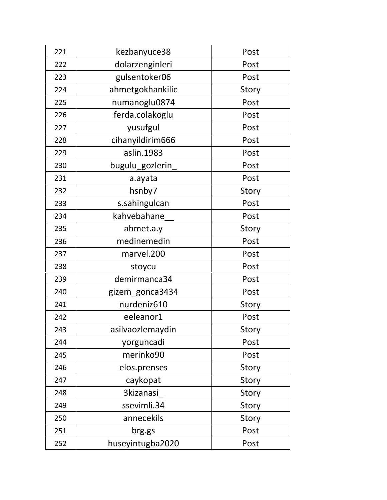| 221 | kezbanyuce38     | Post  |
|-----|------------------|-------|
| 222 | dolarzenginleri  | Post  |
| 223 | gulsentoker06    | Post  |
| 224 | ahmetgokhankilic | Story |
| 225 | numanoglu0874    | Post  |
| 226 | ferda.colakoglu  | Post  |
| 227 | yusufgul         | Post  |
| 228 | cihanyildirim666 | Post  |
| 229 | aslin.1983       | Post  |
| 230 | bugulu_gozlerin  | Post  |
| 231 | a.ayata          | Post  |
| 232 | hsnby7           | Story |
| 233 | s.sahingulcan    | Post  |
| 234 | kahvebahane      | Post  |
| 235 | ahmet.a.y        | Story |
| 236 | medinemedin      | Post  |
| 237 | marvel.200       | Post  |
| 238 | stoycu           | Post  |
| 239 | demirmanca34     | Post  |
| 240 | gizem_gonca3434  | Post  |
| 241 | nurdeniz610      | Story |
| 242 | eeleanor1        | Post  |
| 243 | asilvaozlemaydin | Story |
| 244 | yorguncadi       | Post  |
| 245 | merinko90        | Post  |
| 246 | elos.prenses     | Story |
| 247 | caykopat         | Story |
| 248 | <b>3kizanasi</b> | Story |
| 249 | ssevimli.34      | Story |
| 250 | annecekils       | Story |
| 251 | brg.gs           | Post  |
| 252 | huseyintugba2020 | Post  |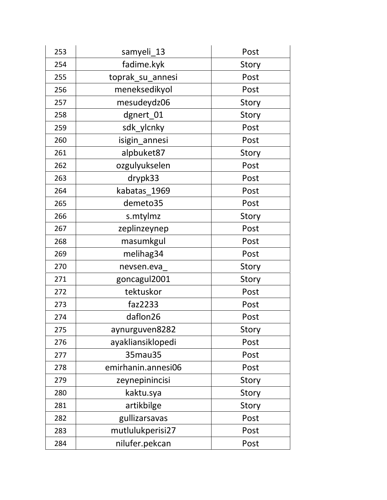| 253 | samyeli_13         | Post  |
|-----|--------------------|-------|
| 254 | fadime.kyk         | Story |
| 255 | toprak_su_annesi   | Post  |
| 256 | meneksedikyol      | Post  |
| 257 | mesudeydz06        | Story |
| 258 | dgnert_01          | Story |
| 259 | sdk_ylcnky         | Post  |
| 260 | isigin_annesi      | Post  |
| 261 | alpbuket87         | Story |
| 262 | ozgulyukselen      | Post  |
| 263 | drypk33            | Post  |
| 264 | kabatas 1969       | Post  |
| 265 | demeto35           | Post  |
| 266 | s.mtylmz           | Story |
| 267 | zeplinzeynep       | Post  |
| 268 | masumkgul          | Post  |
| 269 | melihag34          | Post  |
| 270 | nevsen.eva         | Story |
| 271 | goncagul2001       | Story |
| 272 | tektuskor          | Post  |
| 273 | faz2233            | Post  |
| 274 | daflon26           | Post  |
| 275 | aynurguven8282     | Story |
| 276 | ayakliansiklopedi  | Post  |
| 277 | 35mau35            | Post  |
| 278 | emirhanin.annesi06 | Post  |
| 279 | zeynepinincisi     | Story |
| 280 | kaktu.sya          | Story |
| 281 | artikbilge         | Story |
| 282 | gullizarsavas      | Post  |
| 283 | mutlulukperisi27   | Post  |
| 284 | nilufer.pekcan     | Post  |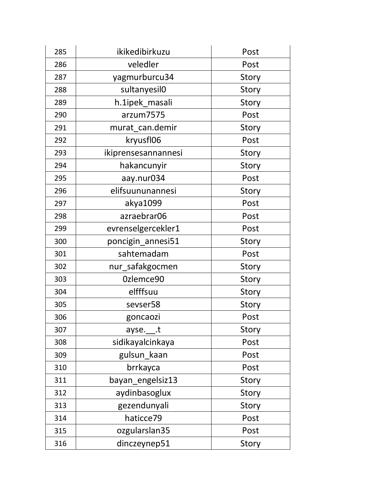| 285 | ikikedibirkuzu           | Post  |
|-----|--------------------------|-------|
| 286 | veledler                 | Post  |
| 287 | yagmurburcu34            | Story |
| 288 | sultanyesil0             | Story |
| 289 | h.1ipek_masali           | Story |
| 290 | arzum7575                | Post  |
| 291 | murat_can.demir          | Story |
| 292 | kryusfl06                | Post  |
| 293 | ikiprensesannannesi      | Story |
| 294 | hakancunyir              | Story |
| 295 | aay.nur034               | Post  |
| 296 | elifsuununannesi         | Story |
| 297 | akya1099                 | Post  |
| 298 | azraebrar06              | Post  |
| 299 | evrenselgercekler1       | Post  |
| 300 | poncigin_annesi51        | Story |
| 301 | sahtemadam               | Post  |
| 302 | nur_safakgocmen          | Story |
| 303 | Ozlemce90                | Story |
| 304 | elfffsuu                 | Story |
| 305 | sevser58                 | Story |
| 306 | goncaozi                 | Post  |
| 307 | ayse. <sub>____</sub> .t | Story |
| 308 | sidikayalcinkaya         | Post  |
| 309 | gulsun_kaan              | Post  |
| 310 | brrkayca                 | Post  |
| 311 | bayan_engelsiz13         | Story |
| 312 | aydinbasoglux            | Story |
| 313 | gezendunyali             | Story |
| 314 | haticce79                | Post  |
| 315 | ozgularslan35            | Post  |
| 316 | dinczeynep51             | Story |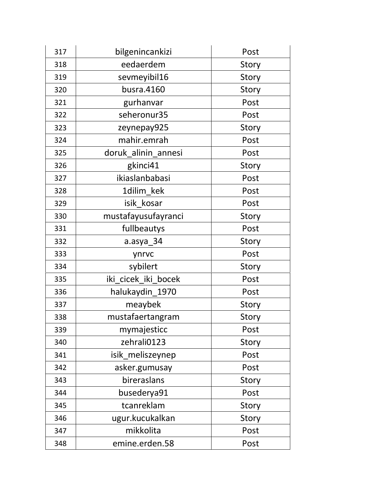| 317 | bilgenincankizi     | Post  |
|-----|---------------------|-------|
| 318 | eedaerdem           | Story |
| 319 | sevmeyibil16        | Story |
| 320 | busra.4160          | Story |
| 321 | gurhanvar           | Post  |
| 322 | seheronur35         | Post  |
| 323 | zeynepay925         | Story |
| 324 | mahir.emrah         | Post  |
| 325 | doruk_alinin_annesi | Post  |
| 326 | gkinci41            | Story |
| 327 | ikiaslanbabasi      | Post  |
| 328 | 1dilim_kek          | Post  |
| 329 | isik kosar          | Post  |
| 330 | mustafayusufayranci | Story |
| 331 | fullbeautys         | Post  |
| 332 | a.asya_34           | Story |
| 333 | ynrvc               | Post  |
| 334 | sybilert            | Story |
| 335 | iki_cicek_iki_bocek | Post  |
| 336 | halukaydin_1970     | Post  |
| 337 | meaybek             | Story |
| 338 | mustafaertangram    | Story |
| 339 | mymajesticc         | Post  |
| 340 | zehrali0123         | Story |
| 341 | isik meliszeynep    | Post  |
| 342 | asker.gumusay       | Post  |
| 343 | bireraslans         | Story |
| 344 | busederya91         | Post  |
| 345 | tcanreklam          | Story |
| 346 | ugur.kucukalkan     | Story |
| 347 | mikkolita           | Post  |
| 348 | emine.erden.58      | Post  |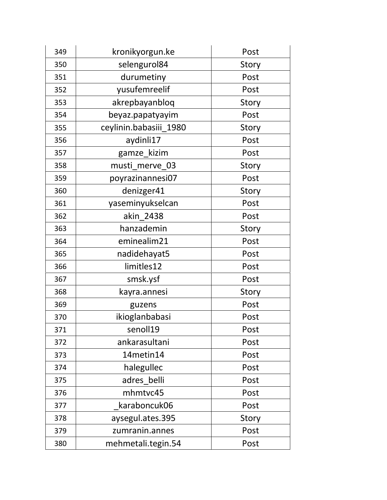| 349 | kronikyorgun.ke        | Post  |
|-----|------------------------|-------|
| 350 | selengurol84           | Story |
| 351 | durumetiny             | Post  |
| 352 | yusufemreelif          | Post  |
| 353 | akrepbayanbloq         | Story |
| 354 | beyaz.papatyayim       | Post  |
| 355 | ceylinin.babasiii 1980 | Story |
| 356 | aydinli17              | Post  |
| 357 | gamze_kizim            | Post  |
| 358 | musti merve 03         | Story |
| 359 | poyrazinannesi07       | Post  |
| 360 | denizger41             | Story |
| 361 | yaseminyukselcan       | Post  |
| 362 | akin 2438              | Post  |
| 363 | hanzademin             | Story |
| 364 | eminealim21            | Post  |
| 365 | nadidehayat5           | Post  |
| 366 | limitles12             | Post  |
| 367 | smsk.ysf               | Post  |
| 368 | kayra.annesi           | Story |
| 369 | guzens                 | Post  |
| 370 | ikioglanbabasi         | Post  |
| 371 | senoll19               | Post  |
| 372 | ankarasultani          | Post  |
| 373 | 14metin14              | Post  |
| 374 | halegullec             | Post  |
| 375 | adres belli            | Post  |
| 376 | mhmtvc45               | Post  |
| 377 | karaboncuk06           | Post  |
| 378 | aysegul.ates.395       | Story |
| 379 | zumranin.annes         | Post  |
| 380 | mehmetali.tegin.54     | Post  |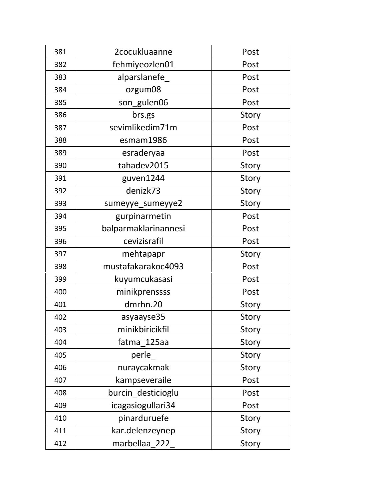| 381 | 2cocukluaanne        | Post  |
|-----|----------------------|-------|
| 382 | fehmiyeozlen01       | Post  |
| 383 | alparslanefe         | Post  |
| 384 | ozgum08              | Post  |
| 385 | son_gulen06          | Post  |
| 386 | brs.gs               | Story |
| 387 | sevimlikedim71m      | Post  |
| 388 | esmam1986            | Post  |
| 389 | esraderyaa           | Post  |
| 390 | tahadev2015          | Story |
| 391 | guven1244            | Story |
| 392 | denizk73             | Story |
| 393 | sumeyye_sumeyye2     | Story |
| 394 | gurpinarmetin        | Post  |
| 395 | balparmaklarinannesi | Post  |
| 396 | cevizisrafil         | Post  |
| 397 | mehtapapr            | Story |
| 398 | mustafakarakoc4093   | Post  |
| 399 | kuyumcukasasi        | Post  |
| 400 | minikprenssss        | Post  |
| 401 | dmrhn.20             | Story |
| 402 | asyaayse35           | Story |
| 403 | minikbiricikfil      | Story |
| 404 | fatma 125aa          | Story |
| 405 | perle                | Story |
| 406 | nuraycakmak          | Story |
| 407 | kampseveraile        | Post  |
| 408 | burcin_desticioglu   | Post  |
| 409 | icagasiogullari34    | Post  |
| 410 | pinarduruefe         | Story |
| 411 | kar.delenzeynep      | Story |
| 412 | marbellaa_222        | Story |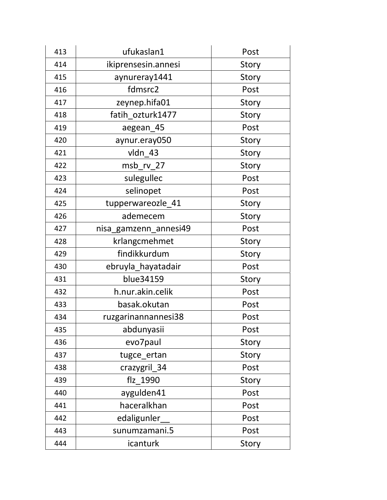| 413 | ufukaslan1            | Post  |
|-----|-----------------------|-------|
| 414 | ikiprensesin.annesi   | Story |
| 415 | aynureray1441         | Story |
| 416 | fdmsrc2               | Post  |
| 417 | zeynep.hifa01         | Story |
| 418 | fatih ozturk1477      | Story |
| 419 | aegean_45             | Post  |
| 420 | aynur.eray050         | Story |
| 421 | vldn 43               | Story |
| 422 | msb rv 27             | Story |
| 423 | sulegullec            | Post  |
| 424 | selinopet             | Post  |
| 425 | tupperwareozle_41     | Story |
| 426 | ademecem              | Story |
| 427 | nisa_gamzenn_annesi49 | Post  |
| 428 | krlangcmehmet         | Story |
| 429 | findikkurdum          | Story |
| 430 | ebruyla_hayatadair    | Post  |
| 431 | blue34159             | Story |
| 432 | h.nur.akin.celik      | Post  |
| 433 | basak.okutan          | Post  |
| 434 | ruzgarinannannesi38   | Post  |
| 435 | abdunyasii            | Post  |
| 436 | evo7paul              | Story |
| 437 | tugce_ertan           | Story |
| 438 | crazygril_34          | Post  |
| 439 | flz 1990              | Story |
| 440 | aygulden41            | Post  |
| 441 | haceralkhan           | Post  |
| 442 | edaligunler           | Post  |
| 443 | sunumzamani.5         | Post  |
| 444 | icanturk              | Story |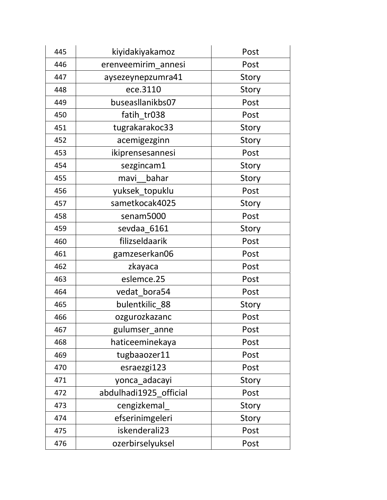| 445 | kiyidakiyakamoz        | Post  |
|-----|------------------------|-------|
| 446 | erenveemirim annesi    | Post  |
| 447 | aysezeynepzumra41      | Story |
| 448 | ece.3110               | Story |
| 449 | buseasllanikbs07       | Post  |
| 450 | fatih tr038            | Post  |
| 451 | tugrakarakoc33         | Story |
| 452 | acemigezginn           | Story |
| 453 | ikiprensesannesi       | Post  |
| 454 | sezgincam1             | Story |
| 455 | bahar<br>mavi          | Story |
| 456 | yuksek_topuklu         | Post  |
| 457 | sametkocak4025         | Story |
| 458 | senam5000              | Post  |
| 459 | sevdaa 6161            | Story |
| 460 | filizseldaarik         | Post  |
| 461 | gamzeserkan06          | Post  |
| 462 | zkayaca                | Post  |
| 463 | eslemce.25             | Post  |
| 464 | vedat bora54           | Post  |
| 465 | bulentkilic_88         | Story |
| 466 | ozgurozkazanc          | Post  |
| 467 | gulumser_anne          | Post  |
| 468 | haticeeminekaya        | Post  |
| 469 | tugbaaozer11           | Post  |
| 470 | esraezgi123            | Post  |
| 471 | yonca adacayi          | Story |
| 472 | abdulhadi1925 official | Post  |
| 473 | cengizkemal            | Story |
| 474 | efserinimgeleri        | Story |
| 475 | iskenderali23          | Post  |
| 476 | ozerbirselyuksel       | Post  |